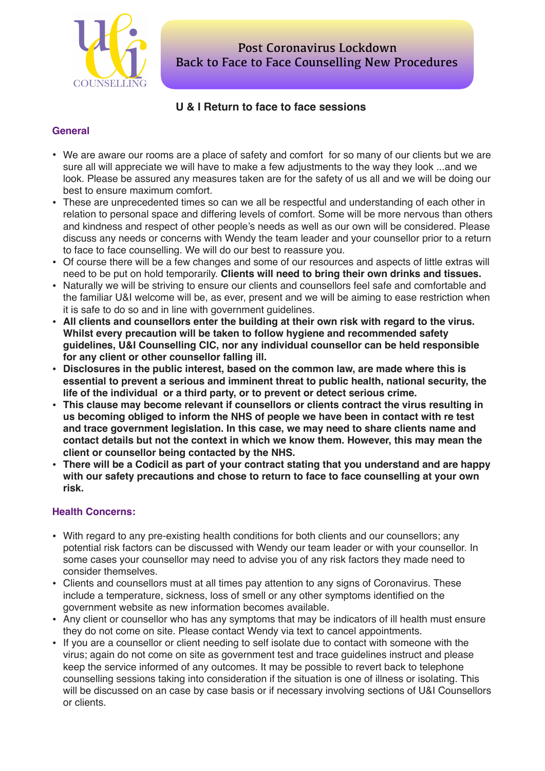

# **U & I Return to face to face sessions**

## **General**

- We are aware our rooms are a place of safety and comfort for so many of our clients but we are sure all will appreciate we will have to make a few adjustments to the way they look ...and we look. Please be assured any measures taken are for the safety of us all and we will be doing our best to ensure maximum comfort.
- These are unprecedented times so can we all be respectful and understanding of each other in relation to personal space and differing levels of comfort. Some will be more nervous than others and kindness and respect of other people's needs as well as our own will be considered. Please discuss any needs or concerns with Wendy the team leader and your counsellor prior to a return to face to face counselling. We will do our best to reassure you.
- Of course there will be a few changes and some of our resources and aspects of little extras will need to be put on hold temporarily. **Clients will need to bring their own drinks and tissues.**
- Naturally we will be striving to ensure our clients and counsellors feel safe and comfortable and the familiar U&I welcome will be, as ever, present and we will be aiming to ease restriction when it is safe to do so and in line with government guidelines.
- **• All clients and counsellors enter the building at their own risk with regard to the virus. Whilst every precaution will be taken to follow hygiene and recommended safety guidelines, U&I Counselling CIC, nor any individual counsellor can be held responsible for any client or other counsellor falling ill.**
- **• Disclosures in the public interest, based on the common law, are made where this is essential to prevent a serious and imminent threat to public health, national security, the life of the individual or a third party, or to prevent or detect serious crime.**
- **• This clause may become relevant if counsellors or clients contract the virus resulting in us becoming obliged to inform the NHS of people we have been in contact with re test and trace government legislation. In this case, we may need to share clients name and contact details but not the context in which we know them. However, this may mean the client or counsellor being contacted by the NHS.**
- **• There will be a Codicil as part of your contract stating that you understand and are happy with our safety precautions and chose to return to face to face counselling at your own risk.**

## **Health Concerns:**

- With regard to any pre-existing health conditions for both clients and our counsellors; any potential risk factors can be discussed with Wendy our team leader or with your counsellor. In some cases your counsellor may need to advise you of any risk factors they made need to consider themselves.
- Clients and counsellors must at all times pay attention to any signs of Coronavirus. These include a temperature, sickness, loss of smell or any other symptoms identified on the government website as new information becomes available.
- Any client or counsellor who has any symptoms that may be indicators of ill health must ensure they do not come on site. Please contact Wendy via text to cancel appointments.
- If you are a counsellor or client needing to self isolate due to contact with someone with the virus; again do not come on site as government test and trace guidelines instruct and please keep the service informed of any outcomes. It may be possible to revert back to telephone counselling sessions taking into consideration if the situation is one of illness or isolating. This will be discussed on an case by case basis or if necessary involving sections of U&I Counsellors or clients.